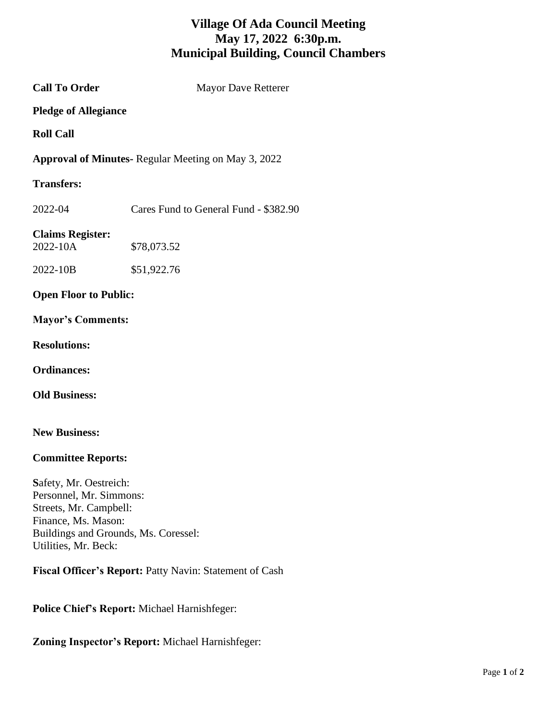## **Village Of Ada Council Meeting May 17, 2022 6:30p.m. Municipal Building, Council Chambers**

**Call To Order** Mayor Dave Retterer **Pledge of Allegiance Roll Call Approval of Minutes-** Regular Meeting on May 3, 2022 **Transfers:** 2022-04 Cares Fund to General Fund - \$382.90 **Claims Register:** 2022-10A \$78,073.52 2022-10B \$51,922.76 **Open Floor to Public: Mayor's Comments: Resolutions: Ordinances:**

**New Business:** 

**Old Business:**

## **Committee Reports:**

**S**afety, Mr. Oestreich: Personnel, Mr. Simmons: Streets, Mr. Campbell: Finance, Ms. Mason: Buildings and Grounds, Ms. Coressel: Utilities, Mr. Beck:

**Fiscal Officer's Report:** Patty Navin: Statement of Cash

**Police Chief's Report:** Michael Harnishfeger:

**Zoning Inspector's Report:** Michael Harnishfeger: